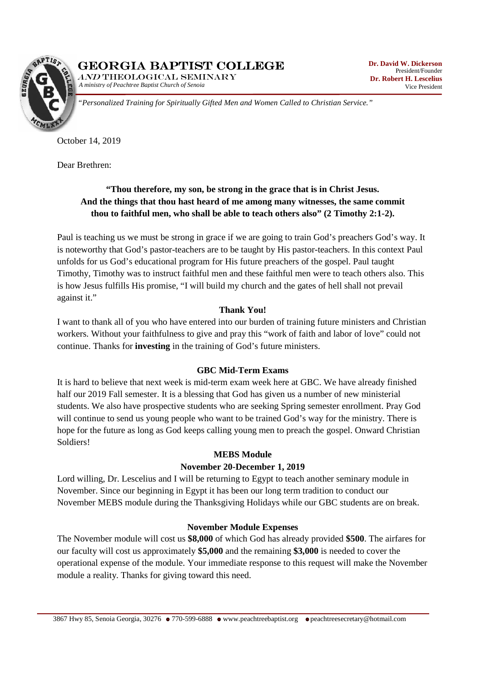

*A ministry of Peachtree Baptist Church of Senoia*  AND THEOLOGICAL SEMINARY



*"Personalized Training for Spiritually Gifted Men and Women Called to Christian Service."* 

October 14, 2019

Dear Brethren:

# **"Thou therefore, my son, be strong in the grace that is in Christ Jesus. And the things that thou hast heard of me among many witnesses, the same commit thou to faithful men, who shall be able to teach others also" (2 Timothy 2:1-2).**

Paul is teaching us we must be strong in grace if we are going to train God's preachers God's way. It is noteworthy that God's pastor-teachers are to be taught by His pastor-teachers. In this context Paul unfolds for us God's educational program for His future preachers of the gospel. Paul taught Timothy, Timothy was to instruct faithful men and these faithful men were to teach others also. This is how Jesus fulfills His promise, "I will build my church and the gates of hell shall not prevail against it."

### **Thank You!**

I want to thank all of you who have entered into our burden of training future ministers and Christian workers. Without your faithfulness to give and pray this "work of faith and labor of love" could not continue. Thanks for **investing** in the training of God's future ministers.

#### **GBC Mid-Term Exams**

It is hard to believe that next week is mid-term exam week here at GBC. We have already finished half our 2019 Fall semester. It is a blessing that God has given us a number of new ministerial students. We also have prospective students who are seeking Spring semester enrollment. Pray God will continue to send us young people who want to be trained God's way for the ministry. There is hope for the future as long as God keeps calling young men to preach the gospel. Onward Christian Soldiers!

#### **MEBS Module**

### **November 20-December 1, 2019**

Lord willing, Dr. Lescelius and I will be returning to Egypt to teach another seminary module in November. Since our beginning in Egypt it has been our long term tradition to conduct our November MEBS module during the Thanksgiving Holidays while our GBC students are on break.

#### **November Module Expenses**

The November module will cost us **\$8,000** of which God has already provided **\$500**. The airfares for our faculty will cost us approximately **\$5,000** and the remaining **\$3,000** is needed to cover the operational expense of the module. Your immediate response to this request will make the November module a reality. Thanks for giving toward this need.